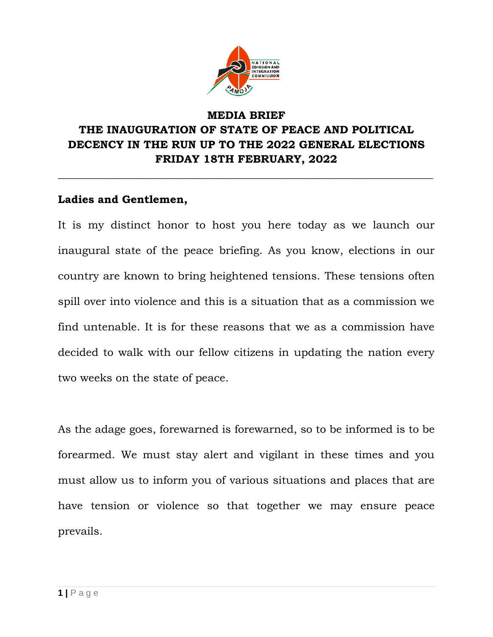

### **MEDIA BRIEF THE INAUGURATION OF STATE OF PEACE AND POLITICAL DECENCY IN THE RUN UP TO THE 2022 GENERAL ELECTIONS FRIDAY 18TH FEBRUARY, 2022**

**\_\_\_\_\_\_\_\_\_\_\_\_\_\_\_\_\_\_\_\_\_\_\_\_\_\_\_\_\_\_\_\_\_\_\_\_\_\_\_\_\_\_\_\_\_\_\_\_\_\_\_\_\_\_\_\_\_\_\_\_\_\_\_\_\_\_\_\_\_**

#### **Ladies and Gentlemen,**

It is my distinct honor to host you here today as we launch our inaugural state of the peace briefing. As you know, elections in our country are known to bring heightened tensions. These tensions often spill over into violence and this is a situation that as a commission we find untenable. It is for these reasons that we as a commission have decided to walk with our fellow citizens in updating the nation every two weeks on the state of peace.

As the adage goes, forewarned is forewarned, so to be informed is to be forearmed. We must stay alert and vigilant in these times and you must allow us to inform you of various situations and places that are have tension or violence so that together we may ensure peace prevails.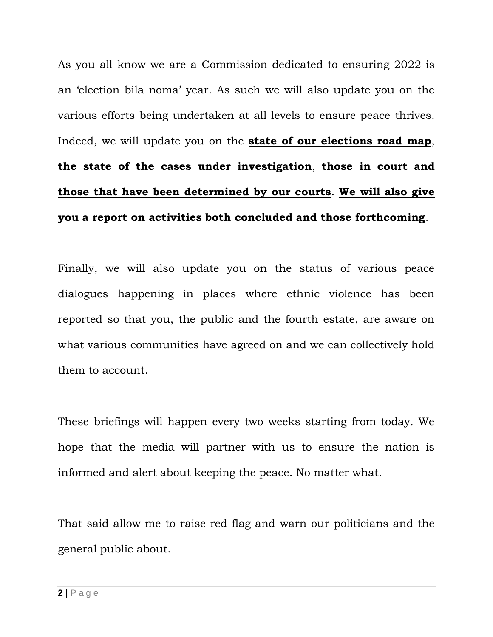As you all know we are a Commission dedicated to ensuring 2022 is an 'election bila noma' year. As such we will also update you on the various efforts being undertaken at all levels to ensure peace thrives. Indeed, we will update you on the **state of our elections road map**, **the state of the cases under investigation**, **those in court and those that have been determined by our courts**. **We will also give you a report on activities both concluded and those forthcoming**.

Finally, we will also update you on the status of various peace dialogues happening in places where ethnic violence has been reported so that you, the public and the fourth estate, are aware on what various communities have agreed on and we can collectively hold them to account.

These briefings will happen every two weeks starting from today. We hope that the media will partner with us to ensure the nation is informed and alert about keeping the peace. No matter what.

That said allow me to raise red flag and warn our politicians and the general public about.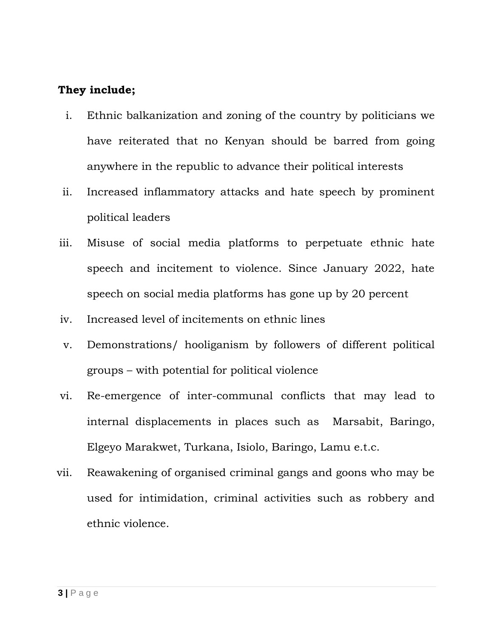#### **They include;**

- i. Ethnic balkanization and zoning of the country by politicians we have reiterated that no Kenyan should be barred from going anywhere in the republic to advance their political interests
- ii. Increased inflammatory attacks and hate speech by prominent political leaders
- iii. Misuse of social media platforms to perpetuate ethnic hate speech and incitement to violence. Since January 2022, hate speech on social media platforms has gone up by 20 percent
- iv. Increased level of incitements on ethnic lines
- v. Demonstrations/ hooliganism by followers of different political groups – with potential for political violence
- vi. Re-emergence of inter-communal conflicts that may lead to internal displacements in places such as Marsabit, Baringo, Elgeyo Marakwet, Turkana, Isiolo, Baringo, Lamu e.t.c.
- vii. Reawakening of organised criminal gangs and goons who may be used for intimidation, criminal activities such as robbery and ethnic violence.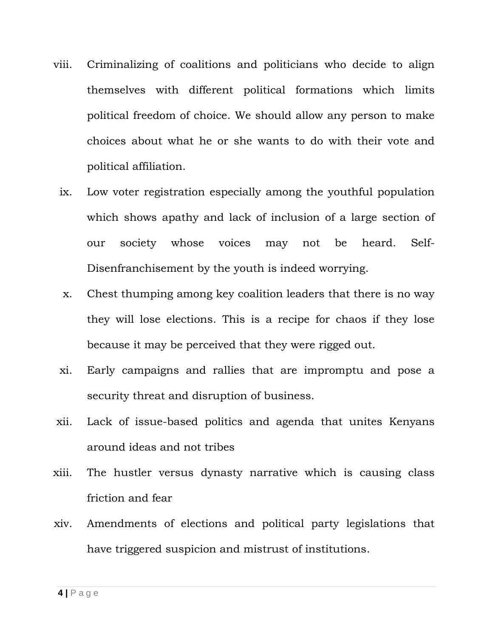- viii. Criminalizing of coalitions and politicians who decide to align themselves with different political formations which limits political freedom of choice. We should allow any person to make choices about what he or she wants to do with their vote and political affiliation.
	- ix. Low voter registration especially among the youthful population which shows apathy and lack of inclusion of a large section of our society whose voices may not be heard. Self-Disenfranchisement by the youth is indeed worrying.
	- x. Chest thumping among key coalition leaders that there is no way they will lose elections. This is a recipe for chaos if they lose because it may be perceived that they were rigged out.
	- xi. Early campaigns and rallies that are impromptu and pose a security threat and disruption of business.
- xii. Lack of issue-based politics and agenda that unites Kenyans around ideas and not tribes
- xiii. The hustler versus dynasty narrative which is causing class friction and fear
- xiv. Amendments of elections and political party legislations that have triggered suspicion and mistrust of institutions.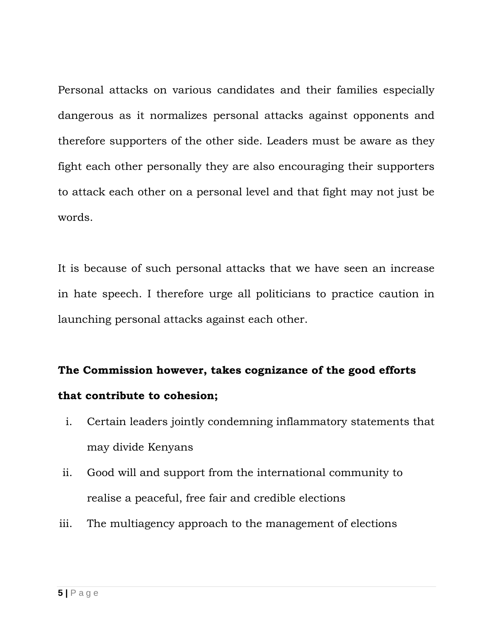Personal attacks on various candidates and their families especially dangerous as it normalizes personal attacks against opponents and therefore supporters of the other side. Leaders must be aware as they fight each other personally they are also encouraging their supporters to attack each other on a personal level and that fight may not just be words.

It is because of such personal attacks that we have seen an increase in hate speech. I therefore urge all politicians to practice caution in launching personal attacks against each other.

# **The Commission however, takes cognizance of the good efforts that contribute to cohesion;**

- i. Certain leaders jointly condemning inflammatory statements that may divide Kenyans
- ii. Good will and support from the international community to realise a peaceful, free fair and credible elections
- iii. The multiagency approach to the management of elections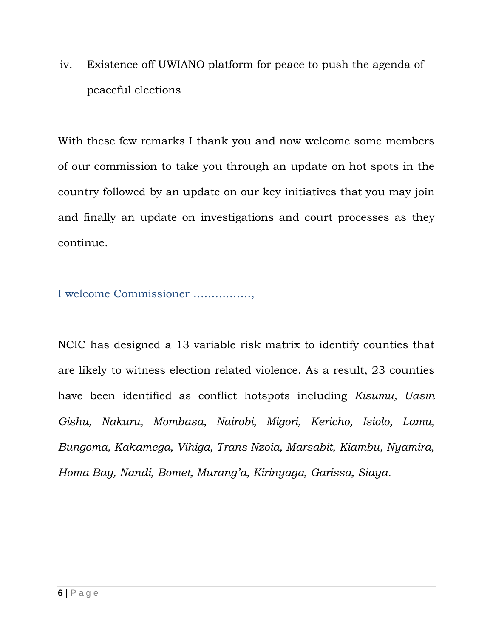iv. Existence off UWIANO platform for peace to push the agenda of peaceful elections

With these few remarks I thank you and now welcome some members of our commission to take you through an update on hot spots in the country followed by an update on our key initiatives that you may join and finally an update on investigations and court processes as they continue.

I welcome Commissioner …………….,

NCIC has designed a 13 variable risk matrix to identify counties that are likely to witness election related violence. As a result, 23 counties have been identified as conflict hotspots including *Kisumu, Uasin Gishu, Nakuru, Mombasa, Nairobi, Migori, Kericho, Isiolo, Lamu, Bungoma, Kakamega, Vihiga, Trans Nzoia, Marsabit, Kiambu, Nyamira, Homa Bay, Nandi, Bomet, Murang'a, Kirinyaga, Garissa, Siaya.*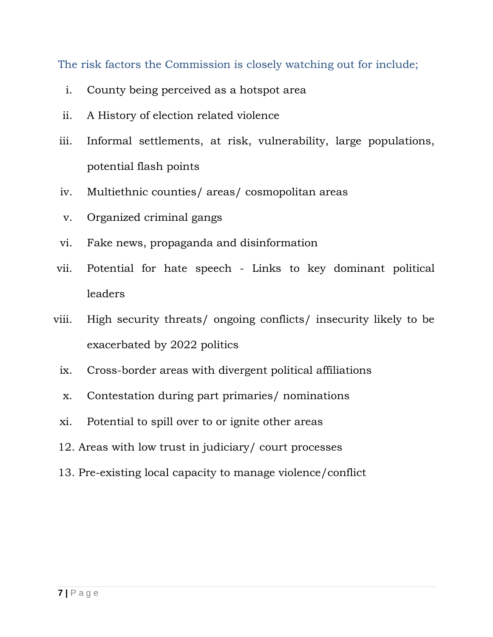The risk factors the Commission is closely watching out for include;

- i. County being perceived as a hotspot area
- ii. A History of election related violence
- iii. Informal settlements, at risk, vulnerability, large populations, potential flash points
- iv. Multiethnic counties/ areas/ cosmopolitan areas
- v. Organized criminal gangs
- vi. Fake news, propaganda and disinformation
- vii. Potential for hate speech Links to key dominant political leaders
- viii. High security threats/ ongoing conflicts/ insecurity likely to be exacerbated by 2022 politics
	- ix. Cross-border areas with divergent political affiliations
	- x. Contestation during part primaries/ nominations
	- xi. Potential to spill over to or ignite other areas
	- 12. Areas with low trust in judiciary/ court processes
	- 13. Pre-existing local capacity to manage violence/conflict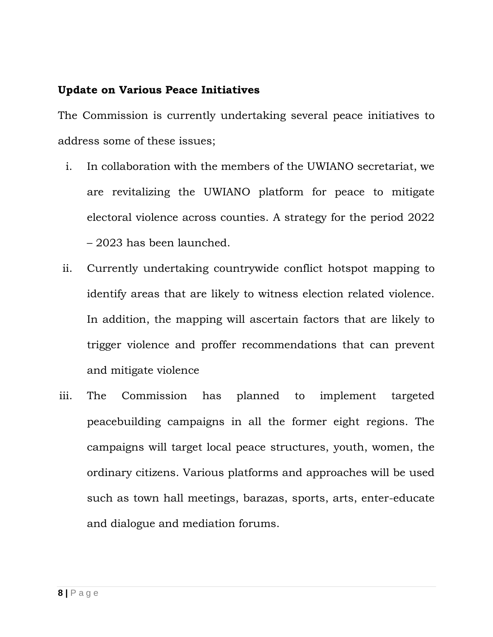#### **Update on Various Peace Initiatives**

The Commission is currently undertaking several peace initiatives to address some of these issues;

- i. In collaboration with the members of the UWIANO secretariat, we are revitalizing the UWIANO platform for peace to mitigate electoral violence across counties. A strategy for the period 2022 – 2023 has been launched.
- ii. Currently undertaking countrywide conflict hotspot mapping to identify areas that are likely to witness election related violence. In addition, the mapping will ascertain factors that are likely to trigger violence and proffer recommendations that can prevent and mitigate violence
- iii. The Commission has planned to implement targeted peacebuilding campaigns in all the former eight regions. The campaigns will target local peace structures, youth, women, the ordinary citizens. Various platforms and approaches will be used such as town hall meetings, barazas, sports, arts, enter-educate and dialogue and mediation forums.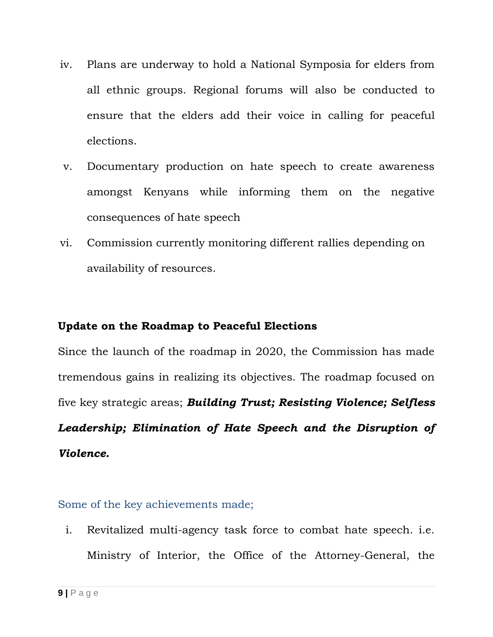- iv. Plans are underway to hold a National Symposia for elders from all ethnic groups. Regional forums will also be conducted to ensure that the elders add their voice in calling for peaceful elections.
- v. Documentary production on hate speech to create awareness amongst Kenyans while informing them on the negative consequences of hate speech
- vi. Commission currently monitoring different rallies depending on availability of resources.

#### **Update on the Roadmap to Peaceful Elections**

Since the launch of the roadmap in 2020, the Commission has made tremendous gains in realizing its objectives. The roadmap focused on five key strategic areas; *Building Trust; Resisting Violence; Selfless Leadership; Elimination of Hate Speech and the Disruption of Violence.*

Some of the key achievements made;

i. Revitalized multi-agency task force to combat hate speech. i.e. Ministry of Interior, the Office of the Attorney-General, the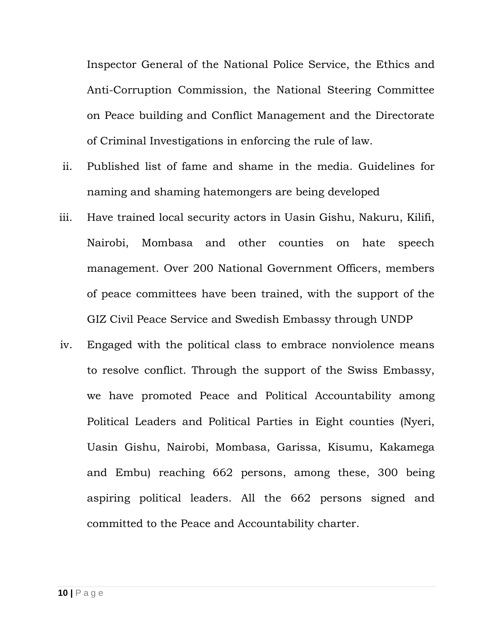Inspector General of the National Police Service, the Ethics and Anti-Corruption Commission, the National Steering Committee on Peace building and Conflict Management and the Directorate of Criminal Investigations in enforcing the rule of law.

- ii. Published list of fame and shame in the media. Guidelines for naming and shaming hatemongers are being developed
- iii. Have trained local security actors in Uasin Gishu, Nakuru, Kilifi, Nairobi, Mombasa and other counties on hate speech management. Over 200 National Government Officers, members of peace committees have been trained, with the support of the GIZ Civil Peace Service and Swedish Embassy through UNDP
- iv. Engaged with the political class to embrace nonviolence means to resolve conflict. Through the support of the Swiss Embassy, we have promoted Peace and Political Accountability among Political Leaders and Political Parties in Eight counties (Nyeri, Uasin Gishu, Nairobi, Mombasa, Garissa, Kisumu, Kakamega and Embu) reaching 662 persons, among these, 300 being aspiring political leaders. All the 662 persons signed and committed to the Peace and Accountability charter.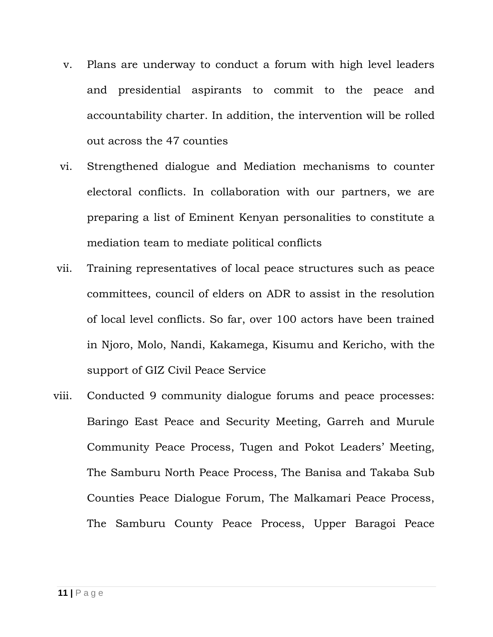- v. Plans are underway to conduct a forum with high level leaders and presidential aspirants to commit to the peace and accountability charter. In addition, the intervention will be rolled out across the 47 counties
- vi. Strengthened dialogue and Mediation mechanisms to counter electoral conflicts. In collaboration with our partners, we are preparing a list of Eminent Kenyan personalities to constitute a mediation team to mediate political conflicts
- vii. Training representatives of local peace structures such as peace committees, council of elders on ADR to assist in the resolution of local level conflicts. So far, over 100 actors have been trained in Njoro, Molo, Nandi, Kakamega, Kisumu and Kericho, with the support of GIZ Civil Peace Service
- viii. Conducted 9 community dialogue forums and peace processes: Baringo East Peace and Security Meeting, Garreh and Murule Community Peace Process, Tugen and Pokot Leaders' Meeting, The Samburu North Peace Process, The Banisa and Takaba Sub Counties Peace Dialogue Forum, The Malkamari Peace Process, The Samburu County Peace Process, Upper Baragoi Peace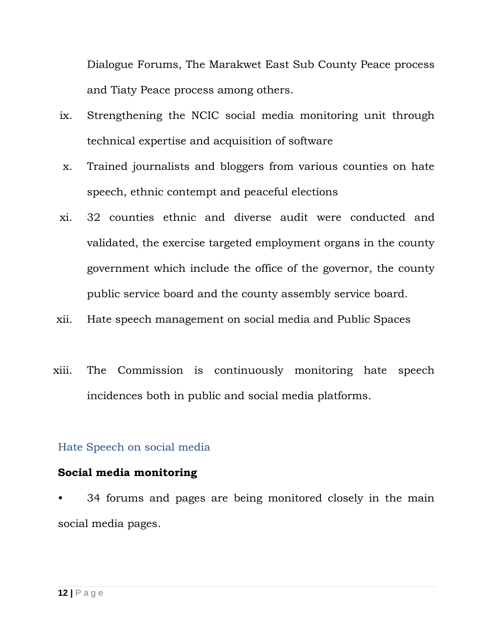Dialogue Forums, The Marakwet East Sub County Peace process and Tiaty Peace process among others.

- ix. Strengthening the NCIC social media monitoring unit through technical expertise and acquisition of software
- x. Trained journalists and bloggers from various counties on hate speech, ethnic contempt and peaceful elections
- xi. 32 counties ethnic and diverse audit were conducted and validated, the exercise targeted employment organs in the county government which include the office of the governor, the county public service board and the county assembly service board.
- xii. Hate speech management on social media and Public Spaces
- xiii. The Commission is continuously monitoring hate speech incidences both in public and social media platforms.

#### Hate Speech on social media

#### **Social media monitoring**

34 forums and pages are being monitored closely in the main social media pages.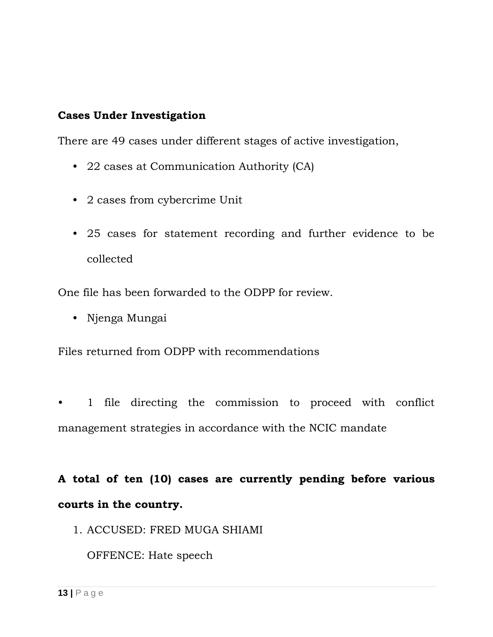#### **Cases Under Investigation**

There are 49 cases under different stages of active investigation,

- 22 cases at Communication Authority (CA)
- 2 cases from cybercrime Unit
- 25 cases for statement recording and further evidence to be collected

One file has been forwarded to the ODPP for review.

• Njenga Mungai

Files returned from ODPP with recommendations

• 1 file directing the commission to proceed with conflict management strategies in accordance with the NCIC mandate

## **A total of ten (10) cases are currently pending before various courts in the country.**

1. ACCUSED: FRED MUGA SHIAMI

OFFENCE: Hate speech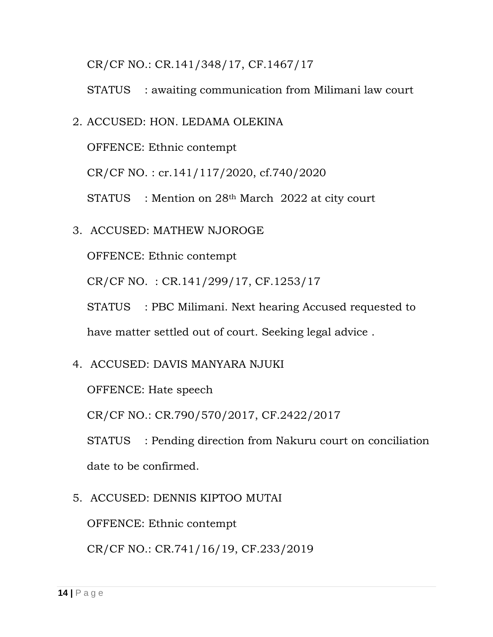CR/CF NO.: CR.141/348/17, CF.1467/17

STATUS : awaiting communication from Milimani law court

2. ACCUSED: HON. LEDAMA OLEKINA

OFFENCE: Ethnic contempt

CR/CF NO. : cr.141/117/2020, cf.740/2020

STATUS : Mention on 28th March 2022 at city court

3. ACCUSED: MATHEW NJOROGE

OFFENCE: Ethnic contempt

CR/CF NO. : CR.141/299/17, CF.1253/17

STATUS : PBC Milimani. Next hearing Accused requested to have matter settled out of court. Seeking legal advice .

4. ACCUSED: DAVIS MANYARA NJUKI

OFFENCE: Hate speech

CR/CF NO.: CR.790/570/2017, CF.2422/2017

STATUS : Pending direction from Nakuru court on conciliation date to be confirmed.

5. ACCUSED: DENNIS KIPTOO MUTAI

OFFENCE: Ethnic contempt

CR/CF NO.: CR.741/16/19, CF.233/2019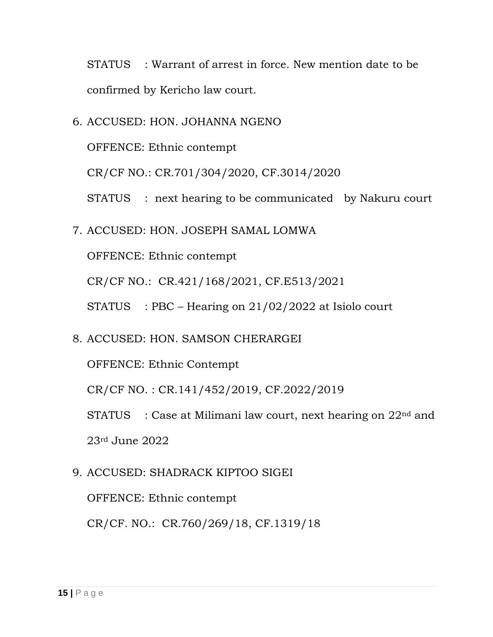STATUS : Warrant of arrest in force. New mention date to be confirmed by Kericho law court.

6. ACCUSED: HON. JOHANNA NGENO

OFFENCE: Ethnic contempt

CR/CF NO.: CR.701/304/2020, CF.3014/2020

STATUS : next hearing to be communicated by Nakuru court

7. ACCUSED: HON. JOSEPH SAMAL LOMWA

OFFENCE: Ethnic contempt

CR/CF NO.: CR.421/168/2021, CF.E513/2021

STATUS : PBC – Hearing on 21/02/2022 at Isiolo court

8. ACCUSED: HON. SAMSON CHERARGEI

OFFENCE: Ethnic Contempt

CR/CF NO. : CR.141/452/2019, CF.2022/2019

STATUS : Case at Milimani law court, next hearing on 22<sup>nd</sup> and 23rd June 2022

9. ACCUSED: SHADRACK KIPTOO SIGEI

OFFENCE: Ethnic contempt

CR/CF. NO.: CR.760/269/18, CF.1319/18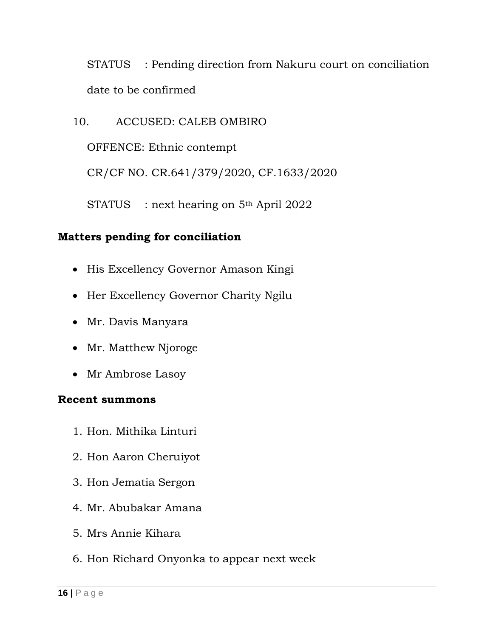STATUS : Pending direction from Nakuru court on conciliation date to be confirmed

10. ACCUSED: CALEB OMBIRO

OFFENCE: Ethnic contempt

CR/CF NO. CR.641/379/2020, CF.1633/2020

STATUS : next hearing on 5<sup>th</sup> April 2022

#### **Matters pending for conciliation**

- His Excellency Governor Amason Kingi
- Her Excellency Governor Charity Ngilu
- Mr. Davis Manyara
- Mr. Matthew Njoroge
- Mr Ambrose Lasoy

#### **Recent summons**

- 1. Hon. Mithika Linturi
- 2. Hon Aaron Cheruiyot
- 3. Hon Jematia Sergon
- 4. Mr. Abubakar Amana
- 5. Mrs Annie Kihara
- 6. Hon Richard Onyonka to appear next week